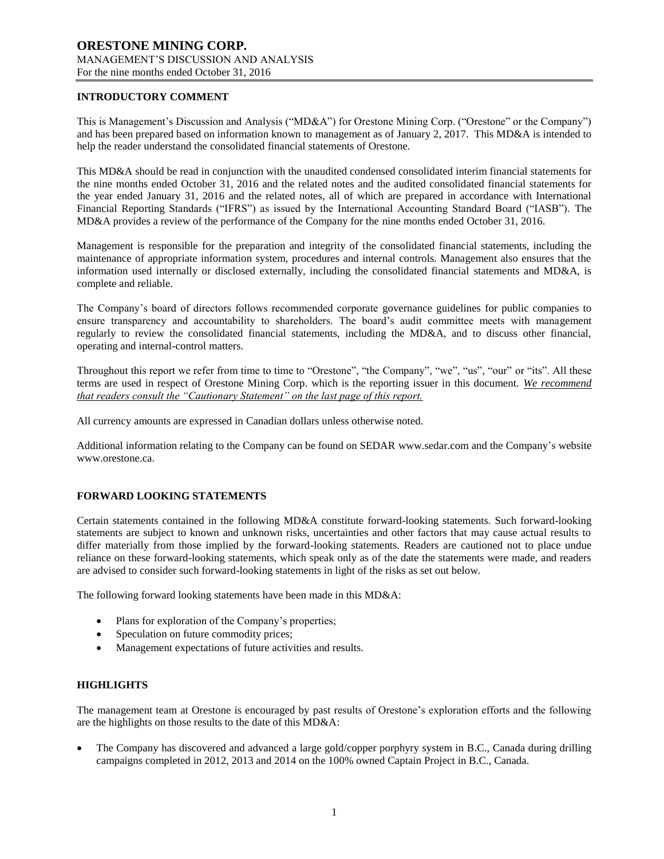# **INTRODUCTORY COMMENT**

This is Management's Discussion and Analysis ("MD&A") for Orestone Mining Corp. ("Orestone" or the Company") and has been prepared based on information known to management as of January 2, 2017. This MD&A is intended to help the reader understand the consolidated financial statements of Orestone.

This MD&A should be read in conjunction with the unaudited condensed consolidated interim financial statements for the nine months ended October 31, 2016 and the related notes and the audited consolidated financial statements for the year ended January 31, 2016 and the related notes, all of which are prepared in accordance with International Financial Reporting Standards ("IFRS") as issued by the International Accounting Standard Board ("IASB"). The MD&A provides a review of the performance of the Company for the nine months ended October 31, 2016.

Management is responsible for the preparation and integrity of the consolidated financial statements, including the maintenance of appropriate information system, procedures and internal controls. Management also ensures that the information used internally or disclosed externally, including the consolidated financial statements and MD&A, is complete and reliable.

The Company's board of directors follows recommended corporate governance guidelines for public companies to ensure transparency and accountability to shareholders. The board's audit committee meets with management regularly to review the consolidated financial statements, including the MD&A, and to discuss other financial, operating and internal-control matters.

Throughout this report we refer from time to time to "Orestone", "the Company", "we", "us", "our" or "its". All these terms are used in respect of Orestone Mining Corp. which is the reporting issuer in this document. *We recommend that readers consult the "Cautionary Statement" on the last page of this report.*

All currency amounts are expressed in Canadian dollars unless otherwise noted.

Additional information relating to the Company can be found on SEDAR www.sedar.com and the Company's website www.orestone.ca.

# **FORWARD LOOKING STATEMENTS**

Certain statements contained in the following MD&A constitute forward-looking statements. Such forward-looking statements are subject to known and unknown risks, uncertainties and other factors that may cause actual results to differ materially from those implied by the forward-looking statements. Readers are cautioned not to place undue reliance on these forward-looking statements, which speak only as of the date the statements were made, and readers are advised to consider such forward-looking statements in light of the risks as set out below.

The following forward looking statements have been made in this MD&A:

- Plans for exploration of the Company's properties;
- Speculation on future commodity prices;
- Management expectations of future activities and results.

# **HIGHLIGHTS**

The management team at Orestone is encouraged by past results of Orestone's exploration efforts and the following are the highlights on those results to the date of this MD&A:

 The Company has discovered and advanced a large gold/copper porphyry system in B.C., Canada during drilling campaigns completed in 2012, 2013 and 2014 on the 100% owned Captain Project in B.C., Canada.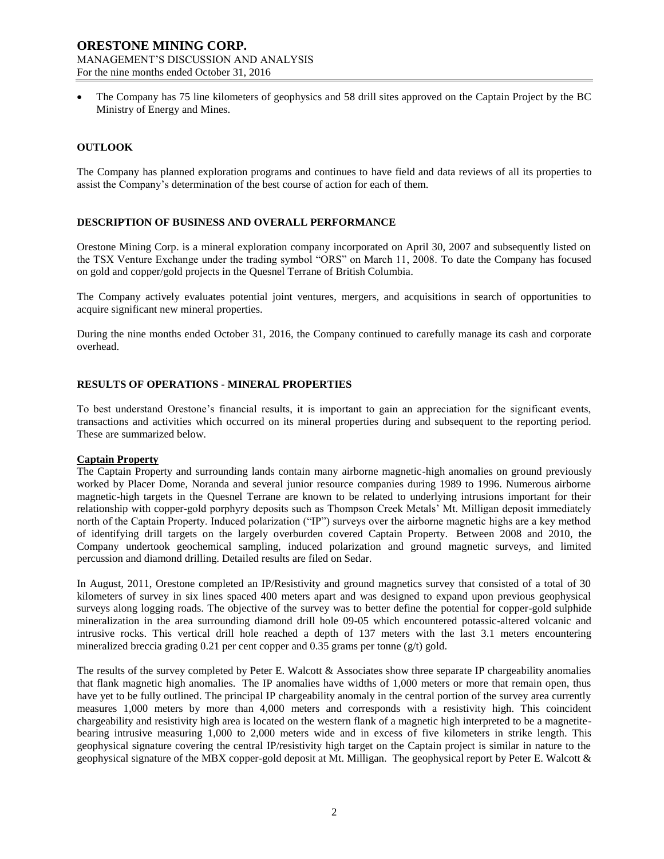The Company has 75 line kilometers of geophysics and 58 drill sites approved on the Captain Project by the BC Ministry of Energy and Mines.

## **OUTLOOK**

The Company has planned exploration programs and continues to have field and data reviews of all its properties to assist the Company's determination of the best course of action for each of them.

## **DESCRIPTION OF BUSINESS AND OVERALL PERFORMANCE**

Orestone Mining Corp. is a mineral exploration company incorporated on April 30, 2007 and subsequently listed on the TSX Venture Exchange under the trading symbol "ORS" on March 11, 2008. To date the Company has focused on gold and copper/gold projects in the Quesnel Terrane of British Columbia.

The Company actively evaluates potential joint ventures, mergers, and acquisitions in search of opportunities to acquire significant new mineral properties.

During the nine months ended October 31, 2016, the Company continued to carefully manage its cash and corporate overhead.

## **RESULTS OF OPERATIONS - MINERAL PROPERTIES**

To best understand Orestone's financial results, it is important to gain an appreciation for the significant events, transactions and activities which occurred on its mineral properties during and subsequent to the reporting period. These are summarized below.

#### **Captain Property**

The Captain Property and surrounding lands contain many airborne magnetic-high anomalies on ground previously worked by Placer Dome, Noranda and several junior resource companies during 1989 to 1996. Numerous airborne magnetic-high targets in the Quesnel Terrane are known to be related to underlying intrusions important for their relationship with copper-gold porphyry deposits such as Thompson Creek Metals' Mt. Milligan deposit immediately north of the Captain Property. Induced polarization ("IP") surveys over the airborne magnetic highs are a key method of identifying drill targets on the largely overburden covered Captain Property. Between 2008 and 2010, the Company undertook geochemical sampling, induced polarization and ground magnetic surveys, and limited percussion and diamond drilling. Detailed results are filed on Sedar.

In August, 2011, Orestone completed an IP/Resistivity and ground magnetics survey that consisted of a total of 30 kilometers of survey in six lines spaced 400 meters apart and was designed to expand upon previous geophysical surveys along logging roads. The objective of the survey was to better define the potential for copper-gold sulphide mineralization in the area surrounding diamond drill hole 09-05 which encountered potassic-altered volcanic and intrusive rocks. This vertical drill hole reached a depth of 137 meters with the last 3.1 meters encountering mineralized breccia grading 0.21 per cent copper and  $0.35$  grams per tonne (g/t) gold.

The results of the survey completed by Peter E. Walcott & Associates show three separate IP chargeability anomalies that flank magnetic high anomalies. The IP anomalies have widths of 1,000 meters or more that remain open, thus have yet to be fully outlined. The principal IP chargeability anomaly in the central portion of the survey area currently measures 1,000 meters by more than 4,000 meters and corresponds with a resistivity high. This coincident chargeability and resistivity high area is located on the western flank of a magnetic high interpreted to be a magnetitebearing intrusive measuring 1,000 to 2,000 meters wide and in excess of five kilometers in strike length. This geophysical signature covering the central IP/resistivity high target on the Captain project is similar in nature to the geophysical signature of the MBX copper-gold deposit at Mt. Milligan. The geophysical report by Peter E. Walcott &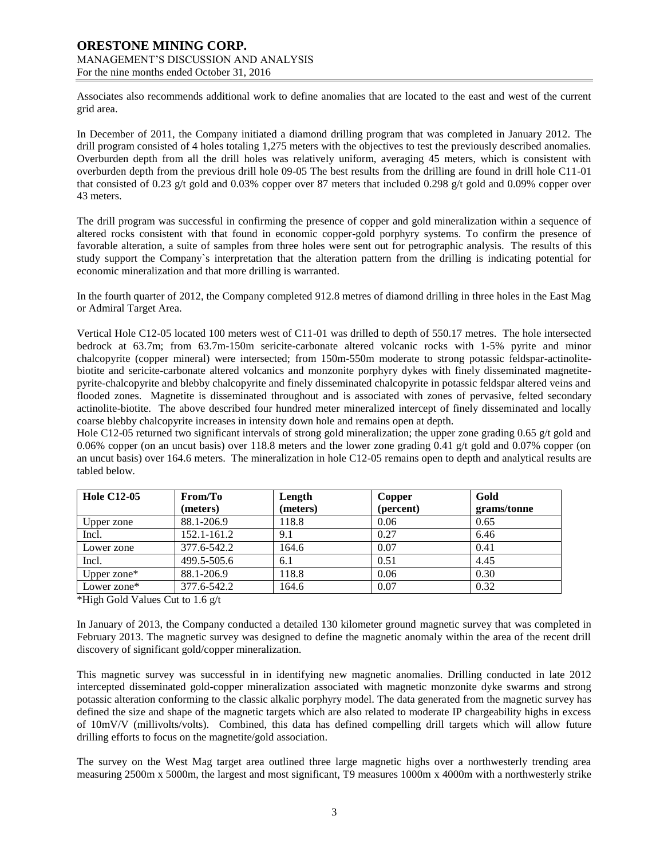Associates also recommends additional work to define anomalies that are located to the east and west of the current grid area.

In December of 2011, the Company initiated a diamond drilling program that was completed in January 2012. The drill program consisted of 4 holes totaling 1,275 meters with the objectives to test the previously described anomalies. Overburden depth from all the drill holes was relatively uniform, averaging 45 meters, which is consistent with overburden depth from the previous drill hole 09-05 The best results from the drilling are found in drill hole C11-01 that consisted of 0.23 g/t gold and 0.03% copper over 87 meters that included 0.298 g/t gold and 0.09% copper over 43 meters.

The drill program was successful in confirming the presence of copper and gold mineralization within a sequence of altered rocks consistent with that found in economic copper-gold porphyry systems. To confirm the presence of favorable alteration, a suite of samples from three holes were sent out for petrographic analysis. The results of this study support the Company`s interpretation that the alteration pattern from the drilling is indicating potential for economic mineralization and that more drilling is warranted.

In the fourth quarter of 2012, the Company completed 912.8 metres of diamond drilling in three holes in the East Mag or Admiral Target Area.

Vertical Hole C12-05 located 100 meters west of C11-01 was drilled to depth of 550.17 metres. The hole intersected bedrock at 63.7m; from 63.7m-150m sericite-carbonate altered volcanic rocks with 1-5% pyrite and minor chalcopyrite (copper mineral) were intersected; from 150m-550m moderate to strong potassic feldspar-actinolitebiotite and sericite-carbonate altered volcanics and monzonite porphyry dykes with finely disseminated magnetitepyrite-chalcopyrite and blebby chalcopyrite and finely disseminated chalcopyrite in potassic feldspar altered veins and flooded zones. Magnetite is disseminated throughout and is associated with zones of pervasive, felted secondary actinolite-biotite. The above described four hundred meter mineralized intercept of finely disseminated and locally coarse blebby chalcopyrite increases in intensity down hole and remains open at depth.

Hole C12-05 returned two significant intervals of strong gold mineralization; the upper zone grading 0.65 g/t gold and 0.06% copper (on an uncut basis) over 118.8 meters and the lower zone grading 0.41 g/t gold and 0.07% copper (on an uncut basis) over 164.6 meters. The mineralization in hole C12-05 remains open to depth and analytical results are tabled below.

| <b>Hole C12-05</b> | From/To     | Length   | Copper    | Gold        |
|--------------------|-------------|----------|-----------|-------------|
|                    | (meters)    | (meters) | (percent) | grams/tonne |
| Upper zone         | 88.1-206.9  | 118.8    | 0.06      | 0.65        |
| Incl.              | 152.1-161.2 | 9.1      | 0.27      | 6.46        |
| Lower zone         | 377.6-542.2 | 164.6    | 0.07      | 0.41        |
| Incl.              | 499.5-505.6 | 6.1      | 0.51      | 4.45        |
| Upper zone*        | 88.1-206.9  | 118.8    | 0.06      | 0.30        |
| Lower zone*        | 377.6-542.2 | 164.6    | 0.07      | 0.32        |

\*High Gold Values Cut to 1.6 g/t

In January of 2013, the Company conducted a detailed 130 kilometer ground magnetic survey that was completed in February 2013. The magnetic survey was designed to define the magnetic anomaly within the area of the recent drill discovery of significant gold/copper mineralization.

This magnetic survey was successful in in identifying new magnetic anomalies. Drilling conducted in late 2012 intercepted disseminated gold-copper mineralization associated with magnetic monzonite dyke swarms and strong potassic alteration conforming to the classic alkalic porphyry model. The data generated from the magnetic survey has defined the size and shape of the magnetic targets which are also related to moderate IP chargeability highs in excess of 10mV/V (millivolts/volts). Combined, this data has defined compelling drill targets which will allow future drilling efforts to focus on the magnetite/gold association.

The survey on the West Mag target area outlined three large magnetic highs over a northwesterly trending area measuring 2500m x 5000m, the largest and most significant, T9 measures 1000m x 4000m with a northwesterly strike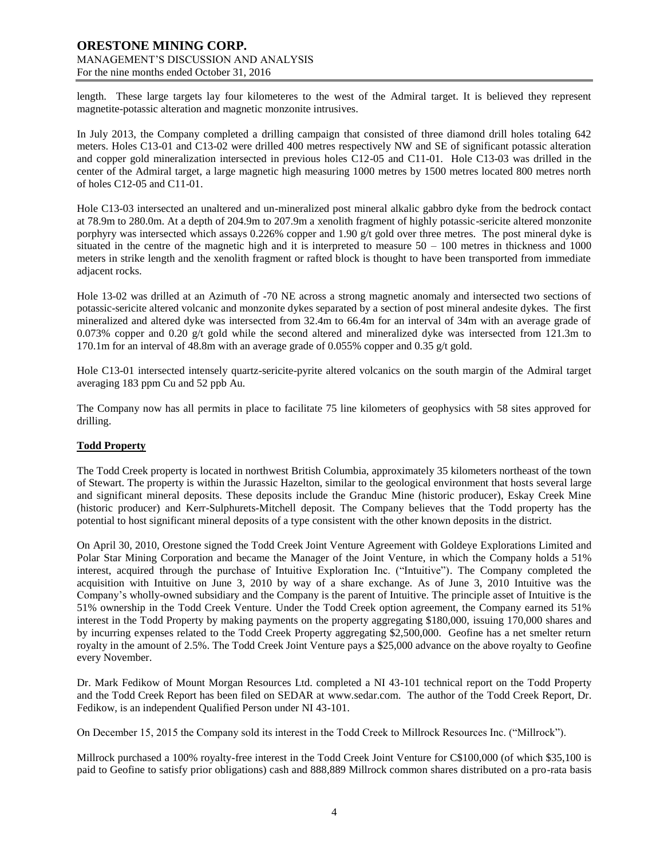length. These large targets lay four kilometeres to the west of the Admiral target. It is believed they represent magnetite-potassic alteration and magnetic monzonite intrusives.

In July 2013, the Company completed a drilling campaign that consisted of three diamond drill holes totaling 642 meters. Holes C13-01 and C13-02 were drilled 400 metres respectively NW and SE of significant potassic alteration and copper gold mineralization intersected in previous holes C12-05 and C11-01. Hole C13-03 was drilled in the center of the Admiral target, a large magnetic high measuring 1000 metres by 1500 metres located 800 metres north of holes C12-05 and C11-01.

Hole C13-03 intersected an unaltered and un-mineralized post mineral alkalic gabbro dyke from the bedrock contact at 78.9m to 280.0m. At a depth of 204.9m to 207.9m a xenolith fragment of highly potassic-sericite altered monzonite porphyry was intersected which assays 0.226% copper and 1.90  $g/t$  gold over three metres. The post mineral dyke is situated in the centre of the magnetic high and it is interpreted to measure  $50 - 100$  metres in thickness and 1000 meters in strike length and the xenolith fragment or rafted block is thought to have been transported from immediate adjacent rocks.

Hole 13-02 was drilled at an Azimuth of -70 NE across a strong magnetic anomaly and intersected two sections of potassic-sericite altered volcanic and monzonite dykes separated by a section of post mineral andesite dykes. The first mineralized and altered dyke was intersected from 32.4m to 66.4m for an interval of 34m with an average grade of 0.073% copper and 0.20 g/t gold while the second altered and mineralized dyke was intersected from 121.3m to 170.1m for an interval of 48.8m with an average grade of 0.055% copper and 0.35 g/t gold.

Hole C13-01 intersected intensely quartz-sericite-pyrite altered volcanics on the south margin of the Admiral target averaging 183 ppm Cu and 52 ppb Au.

The Company now has all permits in place to facilitate 75 line kilometers of geophysics with 58 sites approved for drilling.

#### **Todd Property**

The Todd Creek property is located in northwest British Columbia, approximately 35 kilometers northeast of the town of Stewart. The property is within the Jurassic Hazelton, similar to the geological environment that hosts several large and significant mineral deposits. These deposits include the Granduc Mine (historic producer), Eskay Creek Mine (historic producer) and Kerr-Sulphurets-Mitchell deposit. The Company believes that the Todd property has the potential to host significant mineral deposits of a type consistent with the other known deposits in the district.

On April 30, 2010, Orestone signed the Todd Creek Joint Venture Agreement with Goldeye Explorations Limited and Polar Star Mining Corporation and became the Manager of the Joint Venture, in which the Company holds a 51% interest, acquired through the purchase of Intuitive Exploration Inc. ("Intuitive"). The Company completed the acquisition with Intuitive on June 3, 2010 by way of a share exchange. As of June 3, 2010 Intuitive was the Company's wholly-owned subsidiary and the Company is the parent of Intuitive. The principle asset of Intuitive is the 51% ownership in the Todd Creek Venture. Under the Todd Creek option agreement, the Company earned its 51% interest in the Todd Property by making payments on the property aggregating \$180,000, issuing 170,000 shares and by incurring expenses related to the Todd Creek Property aggregating \$2,500,000. Geofine has a net smelter return royalty in the amount of 2.5%. The Todd Creek Joint Venture pays a \$25,000 advance on the above royalty to Geofine every November.

Dr. Mark Fedikow of Mount Morgan Resources Ltd. completed a NI 43-101 technical report on the Todd Property and the Todd Creek Report has been filed on SEDAR at [www.sedar.com.](http://www.sedar.com/) The author of the Todd Creek Report, Dr. Fedikow, is an independent Qualified Person under NI 43-101.

On December 15, 2015 the Company sold its interest in the Todd Creek to Millrock Resources Inc. ("Millrock").

Millrock purchased a 100% royalty-free interest in the Todd Creek Joint Venture for C\$100,000 (of which \$35,100 is paid to Geofine to satisfy prior obligations) cash and 888,889 Millrock common shares distributed on a pro-rata basis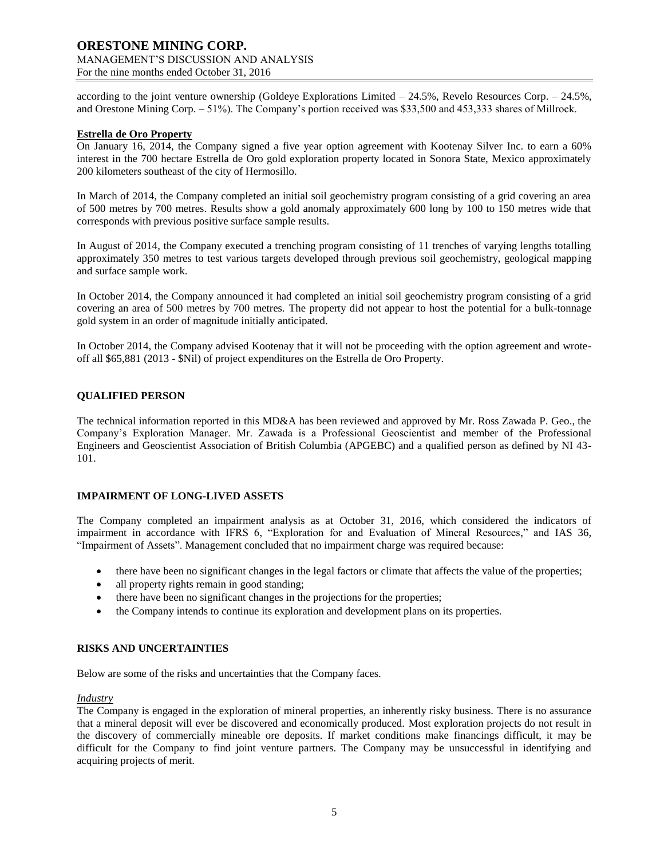according to the joint venture ownership (Goldeye Explorations Limited – 24.5%, Revelo Resources Corp. – 24.5%, and Orestone Mining Corp. – 51%). The Company's portion received was \$33,500 and 453,333 shares of Millrock.

## **Estrella de Oro Property**

On January 16, 2014, the Company signed a five year option agreement with Kootenay Silver Inc. to earn a 60% interest in the 700 hectare Estrella de Oro gold exploration property located in Sonora State, Mexico approximately 200 kilometers southeast of the city of Hermosillo.

In March of 2014, the Company completed an initial soil geochemistry program consisting of a grid covering an area of 500 metres by 700 metres. Results show a gold anomaly approximately 600 long by 100 to 150 metres wide that corresponds with previous positive surface sample results.

In August of 2014, the Company executed a trenching program consisting of 11 trenches of varying lengths totalling approximately 350 metres to test various targets developed through previous soil geochemistry, geological mapping and surface sample work.

In October 2014, the Company announced it had completed an initial soil geochemistry program consisting of a grid covering an area of 500 metres by 700 metres. The property did not appear to host the potential for a bulk-tonnage gold system in an order of magnitude initially anticipated.

In October 2014, the Company advised Kootenay that it will not be proceeding with the option agreement and wroteoff all \$65,881 (2013 - \$Nil) of project expenditures on the Estrella de Oro Property.

# **QUALIFIED PERSON**

The technical information reported in this MD&A has been reviewed and approved by Mr. Ross Zawada P. Geo., the Company's Exploration Manager. Mr. Zawada is a Professional Geoscientist and member of the Professional Engineers and Geoscientist Association of British Columbia (APGEBC) and a qualified person as defined by NI 43- 101.

#### **IMPAIRMENT OF LONG-LIVED ASSETS**

The Company completed an impairment analysis as at October 31, 2016, which considered the indicators of impairment in accordance with IFRS 6, "Exploration for and Evaluation of Mineral Resources," and IAS 36, "Impairment of Assets". Management concluded that no impairment charge was required because:

- there have been no significant changes in the legal factors or climate that affects the value of the properties;
- all property rights remain in good standing;
- there have been no significant changes in the projections for the properties;
- the Company intends to continue its exploration and development plans on its properties.

#### **RISKS AND UNCERTAINTIES**

Below are some of the risks and uncertainties that the Company faces.

#### *Industry*

The Company is engaged in the exploration of mineral properties, an inherently risky business. There is no assurance that a mineral deposit will ever be discovered and economically produced. Most exploration projects do not result in the discovery of commercially mineable ore deposits. If market conditions make financings difficult, it may be difficult for the Company to find joint venture partners. The Company may be unsuccessful in identifying and acquiring projects of merit.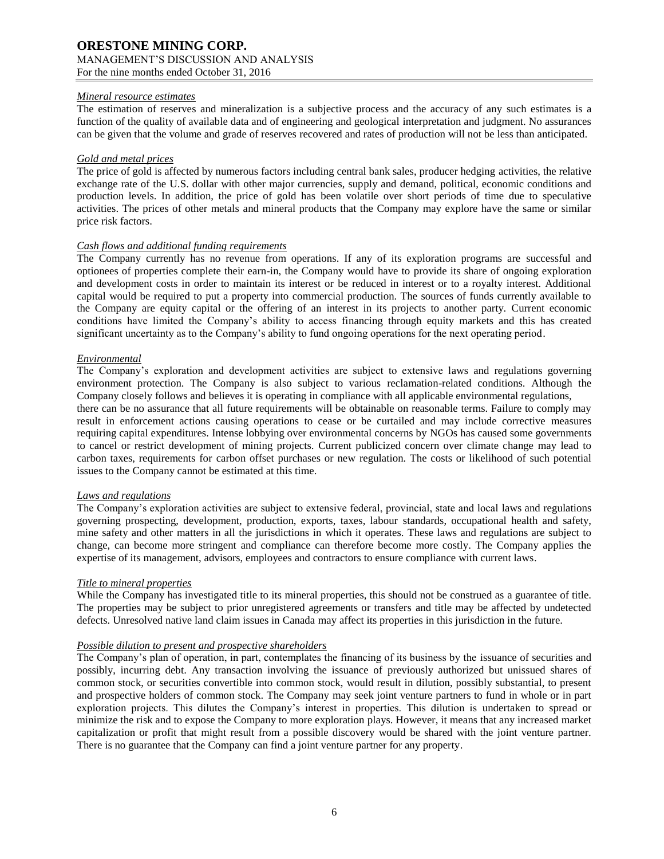## *Mineral resource estimates*

The estimation of reserves and mineralization is a subjective process and the accuracy of any such estimates is a function of the quality of available data and of engineering and geological interpretation and judgment. No assurances can be given that the volume and grade of reserves recovered and rates of production will not be less than anticipated.

## *Gold and metal prices*

The price of gold is affected by numerous factors including central bank sales, producer hedging activities, the relative exchange rate of the U.S. dollar with other major currencies, supply and demand, political, economic conditions and production levels. In addition, the price of gold has been volatile over short periods of time due to speculative activities. The prices of other metals and mineral products that the Company may explore have the same or similar price risk factors.

## *Cash flows and additional funding requirements*

The Company currently has no revenue from operations. If any of its exploration programs are successful and optionees of properties complete their earn-in, the Company would have to provide its share of ongoing exploration and development costs in order to maintain its interest or be reduced in interest or to a royalty interest. Additional capital would be required to put a property into commercial production. The sources of funds currently available to the Company are equity capital or the offering of an interest in its projects to another party. Current economic conditions have limited the Company's ability to access financing through equity markets and this has created significant uncertainty as to the Company's ability to fund ongoing operations for the next operating period.

## *Environmental*

The Company's exploration and development activities are subject to extensive laws and regulations governing environment protection. The Company is also subject to various reclamation-related conditions. Although the Company closely follows and believes it is operating in compliance with all applicable environmental regulations, there can be no assurance that all future requirements will be obtainable on reasonable terms. Failure to comply may

result in enforcement actions causing operations to cease or be curtailed and may include corrective measures requiring capital expenditures. Intense lobbying over environmental concerns by NGOs has caused some governments to cancel or restrict development of mining projects. Current publicized concern over climate change may lead to carbon taxes, requirements for carbon offset purchases or new regulation. The costs or likelihood of such potential issues to the Company cannot be estimated at this time.

#### *Laws and regulations*

The Company's exploration activities are subject to extensive federal, provincial, state and local laws and regulations governing prospecting, development, production, exports, taxes, labour standards, occupational health and safety, mine safety and other matters in all the jurisdictions in which it operates. These laws and regulations are subject to change, can become more stringent and compliance can therefore become more costly. The Company applies the expertise of its management, advisors, employees and contractors to ensure compliance with current laws.

# *Title to mineral properties*

While the Company has investigated title to its mineral properties, this should not be construed as a guarantee of title. The properties may be subject to prior unregistered agreements or transfers and title may be affected by undetected defects. Unresolved native land claim issues in Canada may affect its properties in this jurisdiction in the future.

# *Possible dilution to present and prospective shareholders*

The Company's plan of operation, in part, contemplates the financing of its business by the issuance of securities and possibly, incurring debt. Any transaction involving the issuance of previously authorized but unissued shares of common stock, or securities convertible into common stock, would result in dilution, possibly substantial, to present and prospective holders of common stock. The Company may seek joint venture partners to fund in whole or in part exploration projects. This dilutes the Company's interest in properties. This dilution is undertaken to spread or minimize the risk and to expose the Company to more exploration plays. However, it means that any increased market capitalization or profit that might result from a possible discovery would be shared with the joint venture partner. There is no guarantee that the Company can find a joint venture partner for any property.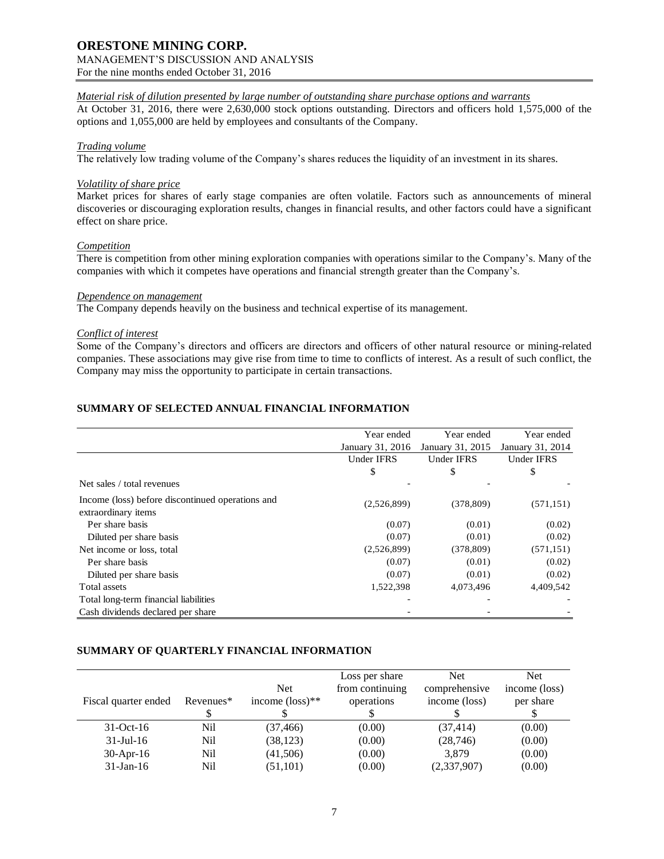# **ORESTONE MINING CORP.**

# MANAGEMENT'S DISCUSSION AND ANALYSIS

For the nine months ended October 31, 2016

# *Material risk of dilution presented by large number of outstanding share purchase options and warrants*

At October 31, 2016, there were 2,630,000 stock options outstanding. Directors and officers hold 1,575,000 of the options and 1,055,000 are held by employees and consultants of the Company.

## *Trading volume*

The relatively low trading volume of the Company's shares reduces the liquidity of an investment in its shares.

#### *Volatility of share price*

Market prices for shares of early stage companies are often volatile. Factors such as announcements of mineral discoveries or discouraging exploration results, changes in financial results, and other factors could have a significant effect on share price.

#### *Competition*

There is competition from other mining exploration companies with operations similar to the Company's. Many of the companies with which it competes have operations and financial strength greater than the Company's.

## *Dependence on management*

The Company depends heavily on the business and technical expertise of its management.

## *Conflict of interest*

Some of the Company's directors and officers are directors and officers of other natural resource or mining-related companies. These associations may give rise from time to time to conflicts of interest. As a result of such conflict, the Company may miss the opportunity to participate in certain transactions.

# **SUMMARY OF SELECTED ANNUAL FINANCIAL INFORMATION**

|                                                                         | Year ended       | Year ended        | Year ended        |
|-------------------------------------------------------------------------|------------------|-------------------|-------------------|
|                                                                         | January 31, 2016 | January 31, 2015  | January 31, 2014  |
|                                                                         | Under IFRS       | <b>Under IFRS</b> | <b>Under IFRS</b> |
|                                                                         | \$               | \$                | \$                |
| Net sales / total revenues                                              |                  |                   |                   |
| Income (loss) before discontinued operations and<br>extraordinary items | (2,526,899)      | (378, 809)        | (571, 151)        |
| Per share basis                                                         | (0.07)           | (0.01)            | (0.02)            |
| Diluted per share basis                                                 | (0.07)           | (0.01)            | (0.02)            |
| Net income or loss, total                                               | (2,526,899)      | (378, 809)        | (571, 151)        |
| Per share basis                                                         | (0.07)           | (0.01)            | (0.02)            |
| Diluted per share basis                                                 | (0.07)           | (0.01)            | (0.02)            |
| Total assets                                                            | 1,522,398        | 4,073,496         | 4,409,542         |
| Total long-term financial liabilities                                   |                  |                   |                   |
| Cash dividends declared per share                                       |                  |                   |                   |

# **SUMMARY OF QUARTERLY FINANCIAL INFORMATION**

| Fiscal quarter ended | Revenues <sup>*</sup> | <b>Net</b><br>income $(\text{loss})^{**}$ | Loss per share<br>from continuing<br>operations | <b>Net</b><br>comprehensive<br>income (loss) | Net.<br>income (loss)<br>per share |
|----------------------|-----------------------|-------------------------------------------|-------------------------------------------------|----------------------------------------------|------------------------------------|
| $31-Oct-16$          | Nil                   | (37, 466)                                 | (0.00)                                          | (37, 414)                                    | (0.00)                             |
| $31$ -Jul-16         | Nil                   | (38, 123)                                 | (0.00)                                          | (28, 746)                                    | (0.00)                             |
| $30$ -Apr-16         | Nil                   | (41,506)                                  | (0.00)                                          | 3,879                                        | (0.00)                             |
| $31$ -Jan-16         | Nil                   | (51, 101)                                 | (0.00)                                          | (2,337,907)                                  | (0.00)                             |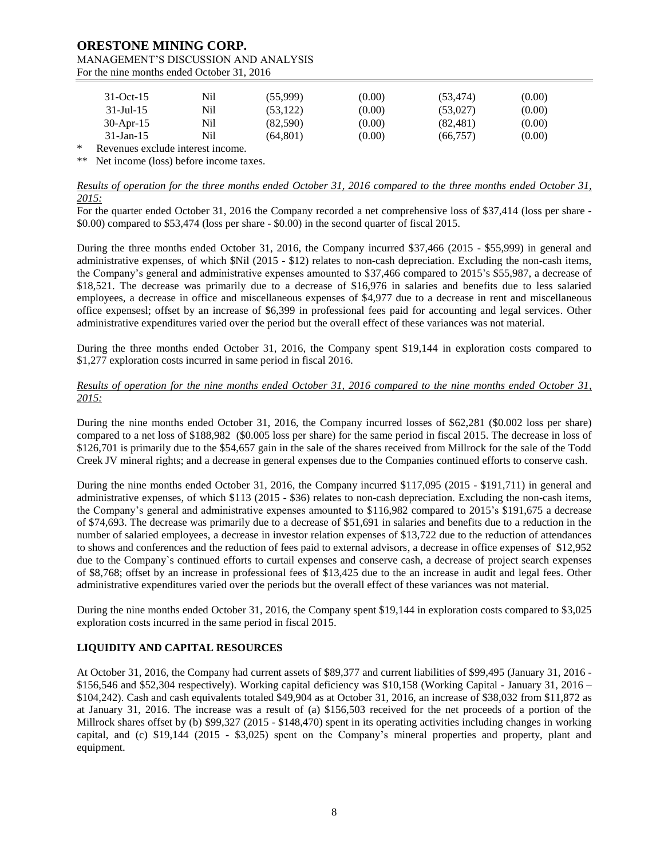# **ORESTONE MINING CORP.** MANAGEMENT'S DISCUSSION AND ANALYSIS

For the nine months ended October 31, 2016

|        | $31-Oct-15$                       | Nil | (55,999)  | (0.00) | (53, 474) | (0.00) |
|--------|-----------------------------------|-----|-----------|--------|-----------|--------|
|        | $31 - \text{Jul} - 15$            | Nil | (53, 122) | (0.00) | (53.027)  | (0.00) |
|        | $30$ -Apr-15                      | Nil | (82, 590) | (0.00) | (82, 481) | (0.00) |
|        | $31$ -Jan-15                      | Nil | (64, 801) | (0.00) | (66, 757) | (0.00) |
| $\ast$ | Revenues exclude interest income. |     |           |        |           |        |

\*\* Net income (loss) before income taxes.

*Results of operation for the three months ended October 31, 2016 compared to the three months ended October 31, 2015:*

For the quarter ended October 31, 2016 the Company recorded a net comprehensive loss of \$37,414 (loss per share -\$0.00) compared to \$53,474 (loss per share - \$0.00) in the second quarter of fiscal 2015.

During the three months ended October 31, 2016, the Company incurred \$37,466 (2015 - \$55,999) in general and administrative expenses, of which \$Nil (2015 - \$12) relates to non-cash depreciation. Excluding the non-cash items, the Company's general and administrative expenses amounted to \$37,466 compared to 2015's \$55,987, a decrease of \$18,521. The decrease was primarily due to a decrease of \$16,976 in salaries and benefits due to less salaried employees, a decrease in office and miscellaneous expenses of \$4,977 due to a decrease in rent and miscellaneous office expensesl; offset by an increase of \$6,399 in professional fees paid for accounting and legal services. Other administrative expenditures varied over the period but the overall effect of these variances was not material.

During the three months ended October 31, 2016, the Company spent \$19,144 in exploration costs compared to \$1,277 exploration costs incurred in same period in fiscal 2016.

## *Results of operation for the nine months ended October 31, 2016 compared to the nine months ended October 31, 2015:*

During the nine months ended October 31, 2016, the Company incurred losses of \$62,281 (\$0.002 loss per share) compared to a net loss of \$188,982 (\$0.005 loss per share) for the same period in fiscal 2015. The decrease in loss of \$126,701 is primarily due to the \$54,657 gain in the sale of the shares received from Millrock for the sale of the Todd Creek JV mineral rights; and a decrease in general expenses due to the Companies continued efforts to conserve cash.

During the nine months ended October 31, 2016, the Company incurred \$117,095 (2015 - \$191,711) in general and administrative expenses, of which \$113 (2015 - \$36) relates to non-cash depreciation. Excluding the non-cash items, the Company's general and administrative expenses amounted to \$116,982 compared to 2015's \$191,675 a decrease of \$74,693. The decrease was primarily due to a decrease of \$51,691 in salaries and benefits due to a reduction in the number of salaried employees, a decrease in investor relation expenses of \$13,722 due to the reduction of attendances to shows and conferences and the reduction of fees paid to external advisors, a decrease in office expenses of \$12,952 due to the Company`s continued efforts to curtail expenses and conserve cash, a decrease of project search expenses of \$8,768; offset by an increase in professional fees of \$13,425 due to the an increase in audit and legal fees. Other administrative expenditures varied over the periods but the overall effect of these variances was not material.

During the nine months ended October 31, 2016, the Company spent \$19,144 in exploration costs compared to \$3,025 exploration costs incurred in the same period in fiscal 2015.

# **LIQUIDITY AND CAPITAL RESOURCES**

At October 31, 2016, the Company had current assets of \$89,377 and current liabilities of \$99,495 (January 31, 2016 - \$156,546 and \$52,304 respectively). Working capital deficiency was \$10,158 (Working Capital - January 31, 2016 – \$104,242). Cash and cash equivalents totaled \$49,904 as at October 31, 2016, an increase of \$38,032 from \$11,872 as at January 31, 2016. The increase was a result of (a) \$156,503 received for the net proceeds of a portion of the Millrock shares offset by (b) \$99,327 (2015 - \$148,470) spent in its operating activities including changes in working capital, and (c) \$19,144 (2015 - \$3,025) spent on the Company's mineral properties and property, plant and equipment.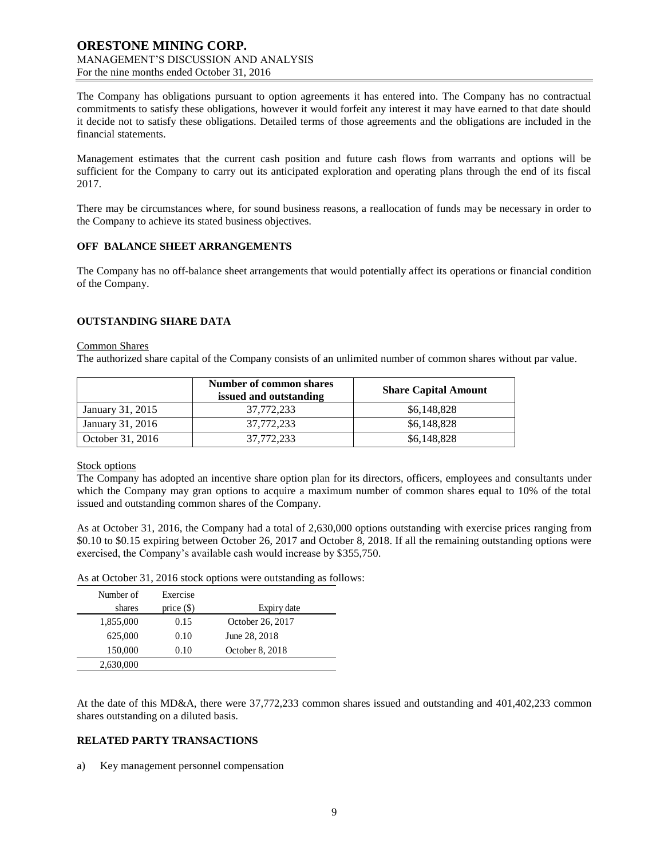The Company has obligations pursuant to option agreements it has entered into. The Company has no contractual commitments to satisfy these obligations, however it would forfeit any interest it may have earned to that date should it decide not to satisfy these obligations. Detailed terms of those agreements and the obligations are included in the financial statements.

Management estimates that the current cash position and future cash flows from warrants and options will be sufficient for the Company to carry out its anticipated exploration and operating plans through the end of its fiscal 2017.

There may be circumstances where, for sound business reasons, a reallocation of funds may be necessary in order to the Company to achieve its stated business objectives.

#### **OFF BALANCE SHEET ARRANGEMENTS**

The Company has no off-balance sheet arrangements that would potentially affect its operations or financial condition of the Company.

# **OUTSTANDING SHARE DATA**

#### Common Shares

The authorized share capital of the Company consists of an unlimited number of common shares without par value.

|                  | Number of common shares<br>issued and outstanding | <b>Share Capital Amount</b> |
|------------------|---------------------------------------------------|-----------------------------|
| January 31, 2015 | 37,772,233                                        | \$6,148,828                 |
| January 31, 2016 | 37,772,233                                        | \$6,148,828                 |
| October 31, 2016 | 37,772,233                                        | \$6,148,828                 |

#### Stock options

The Company has adopted an incentive share option plan for its directors, officers, employees and consultants under which the Company may gran options to acquire a maximum number of common shares equal to 10% of the total issued and outstanding common shares of the Company.

As at October 31, 2016, the Company had a total of 2,630,000 options outstanding with exercise prices ranging from \$0.10 to \$0.15 expiring between October 26, 2017 and October 8, 2018. If all the remaining outstanding options were exercised, the Company's available cash would increase by \$355,750.

|  |  | As at October 31, 2016 stock options were outstanding as follows: |
|--|--|-------------------------------------------------------------------|
|--|--|-------------------------------------------------------------------|

| Number of | Exercise     |                  |
|-----------|--------------|------------------|
| shares    | price $(\$)$ | Expiry date      |
| 1,855,000 | 0.15         | October 26, 2017 |
| 625,000   | 0.10         | June 28, 2018    |
| 150,000   | 0.10         | October 8, 2018  |
| 2,630,000 |              |                  |

At the date of this MD&A, there were 37,772,233 common shares issued and outstanding and 401,402,233 common shares outstanding on a diluted basis.

# **RELATED PARTY TRANSACTIONS**

a) Key management personnel compensation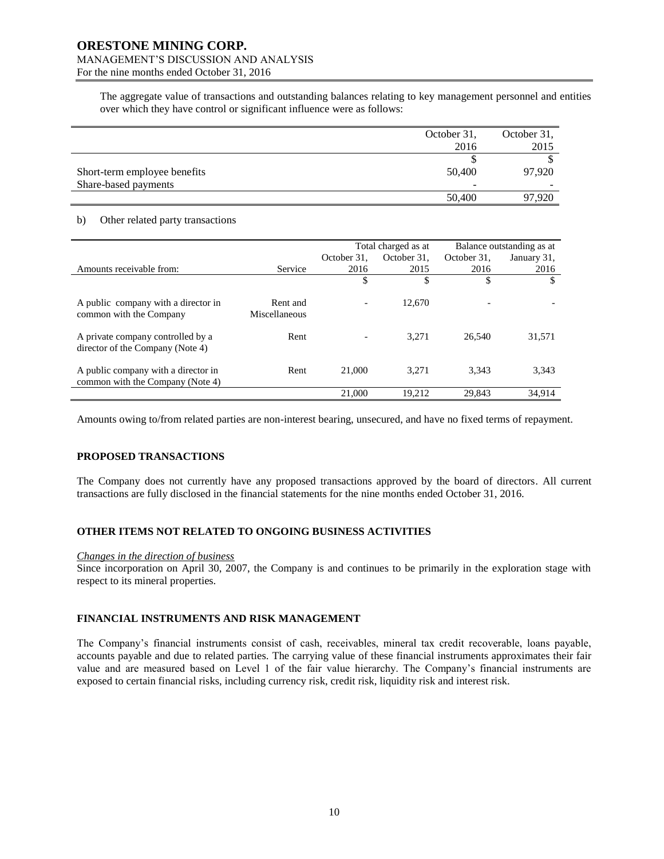# **ORESTONE MINING CORP.** MANAGEMENT'S DISCUSSION AND ANALYSIS

For the nine months ended October 31, 2016

The aggregate value of transactions and outstanding balances relating to key management personnel and entities over which they have control or significant influence were as follows:

|                              | October 31, | October 31, |
|------------------------------|-------------|-------------|
|                              | 2016        | 2015        |
|                              |             |             |
| Short-term employee benefits | 50,400      | 97.920      |
| Share-based payments         |             |             |
|                              | 50,400      | 97.920      |

## b) Other related party transactions

|                                                                         |                           | Total charged as at |             | Balance outstanding as at |             |
|-------------------------------------------------------------------------|---------------------------|---------------------|-------------|---------------------------|-------------|
|                                                                         |                           | October 31.         | October 31. | October 31,               | January 31, |
| Amounts receivable from:                                                | Service                   | 2016                | 2015        | 2016                      | 2016        |
|                                                                         |                           | \$                  | \$          | \$                        | \$          |
| A public company with a director in<br>common with the Company          | Rent and<br>Miscellaneous |                     | 12.670      |                           |             |
| A private company controlled by a<br>director of the Company (Note 4)   | Rent                      |                     | 3.271       | 26.540                    | 31,571      |
| A public company with a director in<br>common with the Company (Note 4) | Rent                      | 21,000              | 3.271       | 3.343                     | 3,343       |
|                                                                         |                           | 21,000              | 19.212      | 29.843                    | 34,914      |

Amounts owing to/from related parties are non-interest bearing, unsecured, and have no fixed terms of repayment.

# **PROPOSED TRANSACTIONS**

The Company does not currently have any proposed transactions approved by the board of directors. All current transactions are fully disclosed in the financial statements for the nine months ended October 31, 2016.

# **OTHER ITEMS NOT RELATED TO ONGOING BUSINESS ACTIVITIES**

#### *Changes in the direction of business*

Since incorporation on April 30, 2007, the Company is and continues to be primarily in the exploration stage with respect to its mineral properties.

# **FINANCIAL INSTRUMENTS AND RISK MANAGEMENT**

The Company's financial instruments consist of cash, receivables, mineral tax credit recoverable, loans payable, accounts payable and due to related parties. The carrying value of these financial instruments approximates their fair value and are measured based on Level 1 of the fair value hierarchy. The Company's financial instruments are exposed to certain financial risks, including currency risk, credit risk, liquidity risk and interest risk.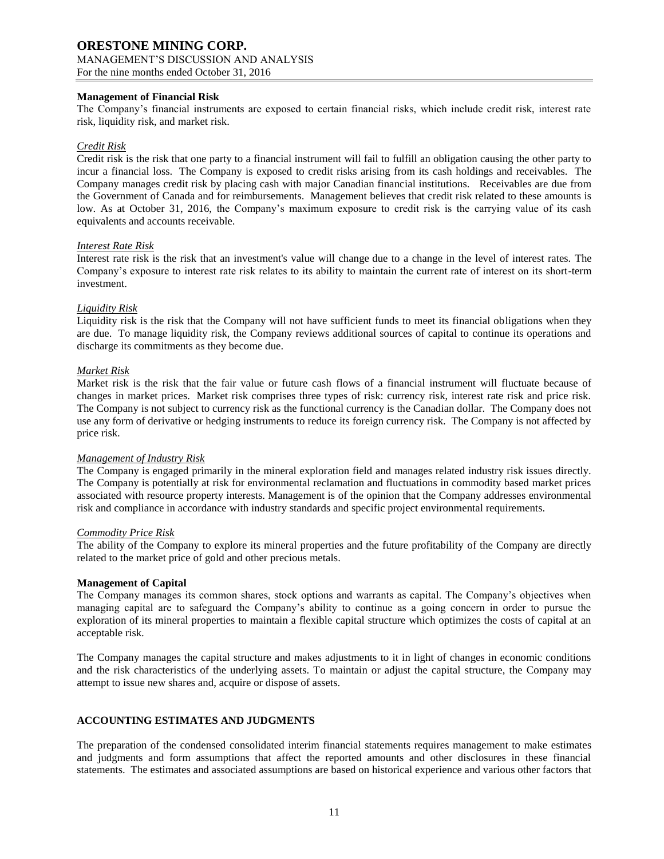## **Management of Financial Risk**

The Company's financial instruments are exposed to certain financial risks, which include credit risk, interest rate risk, liquidity risk, and market risk.

## *Credit Risk*

Credit risk is the risk that one party to a financial instrument will fail to fulfill an obligation causing the other party to incur a financial loss. The Company is exposed to credit risks arising from its cash holdings and receivables. The Company manages credit risk by placing cash with major Canadian financial institutions. Receivables are due from the Government of Canada and for reimbursements. Management believes that credit risk related to these amounts is low. As at October 31, 2016, the Company's maximum exposure to credit risk is the carrying value of its cash equivalents and accounts receivable.

#### *Interest Rate Risk*

Interest rate risk is the risk that an investment's value will change due to a change in the level of interest rates. The Company's exposure to interest rate risk relates to its ability to maintain the current rate of interest on its short-term investment.

## *Liquidity Risk*

Liquidity risk is the risk that the Company will not have sufficient funds to meet its financial obligations when they are due. To manage liquidity risk, the Company reviews additional sources of capital to continue its operations and discharge its commitments as they become due.

## *Market Risk*

Market risk is the risk that the fair value or future cash flows of a financial instrument will fluctuate because of changes in market prices. Market risk comprises three types of risk: currency risk, interest rate risk and price risk. The Company is not subject to currency risk as the functional currency is the Canadian dollar. The Company does not use any form of derivative or hedging instruments to reduce its foreign currency risk. The Company is not affected by price risk.

#### *Management of Industry Risk*

The Company is engaged primarily in the mineral exploration field and manages related industry risk issues directly. The Company is potentially at risk for environmental reclamation and fluctuations in commodity based market prices associated with resource property interests. Management is of the opinion that the Company addresses environmental risk and compliance in accordance with industry standards and specific project environmental requirements.

#### *Commodity Price Risk*

The ability of the Company to explore its mineral properties and the future profitability of the Company are directly related to the market price of gold and other precious metals.

#### **Management of Capital**

The Company manages its common shares, stock options and warrants as capital. The Company's objectives when managing capital are to safeguard the Company's ability to continue as a going concern in order to pursue the exploration of its mineral properties to maintain a flexible capital structure which optimizes the costs of capital at an acceptable risk.

The Company manages the capital structure and makes adjustments to it in light of changes in economic conditions and the risk characteristics of the underlying assets. To maintain or adjust the capital structure, the Company may attempt to issue new shares and, acquire or dispose of assets.

# **ACCOUNTING ESTIMATES AND JUDGMENTS**

The preparation of the condensed consolidated interim financial statements requires management to make estimates and judgments and form assumptions that affect the reported amounts and other disclosures in these financial statements. The estimates and associated assumptions are based on historical experience and various other factors that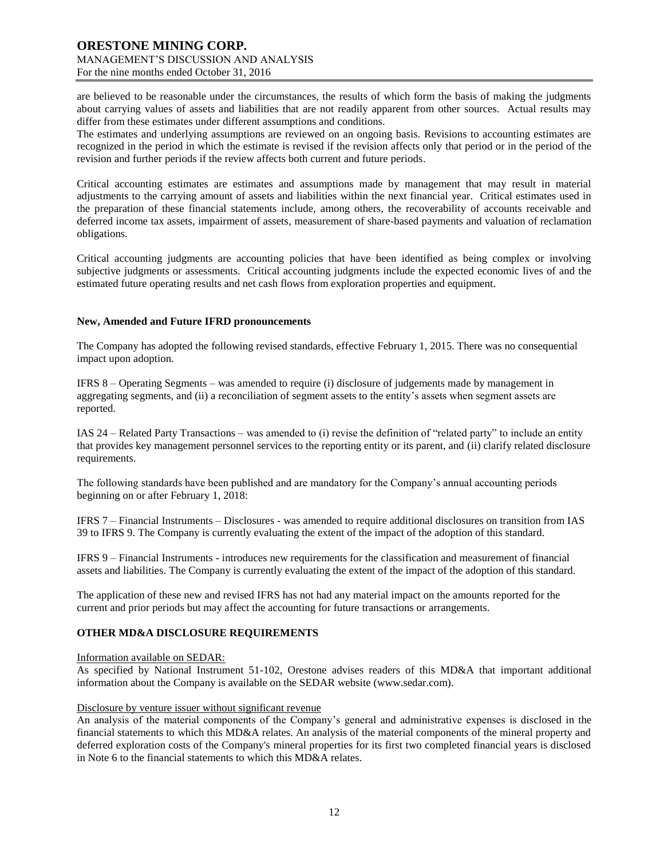are believed to be reasonable under the circumstances, the results of which form the basis of making the judgments about carrying values of assets and liabilities that are not readily apparent from other sources. Actual results may differ from these estimates under different assumptions and conditions.

The estimates and underlying assumptions are reviewed on an ongoing basis. Revisions to accounting estimates are recognized in the period in which the estimate is revised if the revision affects only that period or in the period of the revision and further periods if the review affects both current and future periods.

Critical accounting estimates are estimates and assumptions made by management that may result in material adjustments to the carrying amount of assets and liabilities within the next financial year. Critical estimates used in the preparation of these financial statements include, among others, the recoverability of accounts receivable and deferred income tax assets, impairment of assets, measurement of share-based payments and valuation of reclamation obligations.

Critical accounting judgments are accounting policies that have been identified as being complex or involving subjective judgments or assessments. Critical accounting judgments include the expected economic lives of and the estimated future operating results and net cash flows from exploration properties and equipment.

#### **New, Amended and Future IFRD pronouncements**

The Company has adopted the following revised standards, effective February 1, 2015. There was no consequential impact upon adoption.

IFRS 8 – Operating Segments – was amended to require (i) disclosure of judgements made by management in aggregating segments, and (ii) a reconciliation of segment assets to the entity's assets when segment assets are reported.

IAS 24 – Related Party Transactions – was amended to (i) revise the definition of "related party" to include an entity that provides key management personnel services to the reporting entity or its parent, and (ii) clarify related disclosure requirements.

The following standards have been published and are mandatory for the Company's annual accounting periods beginning on or after February 1, 2018:

IFRS 7 – Financial Instruments – Disclosures - was amended to require additional disclosures on transition from IAS 39 to IFRS 9. The Company is currently evaluating the extent of the impact of the adoption of this standard.

IFRS 9 – Financial Instruments - introduces new requirements for the classification and measurement of financial assets and liabilities. The Company is currently evaluating the extent of the impact of the adoption of this standard.

The application of these new and revised IFRS has not had any material impact on the amounts reported for the current and prior periods but may affect the accounting for future transactions or arrangements.

# **OTHER MD&A DISCLOSURE REQUIREMENTS**

Information available on SEDAR:

As specified by National Instrument 51-102, Orestone advises readers of this MD&A that important additional information about the Company is available on the SEDAR website (www.sedar.com).

#### Disclosure by venture issuer without significant revenue

An analysis of the material components of the Company's general and administrative expenses is disclosed in the financial statements to which this MD&A relates. An analysis of the material components of the mineral property and deferred exploration costs of the Company's mineral properties for its first two completed financial years is disclosed in Note 6 to the financial statements to which this MD&A relates.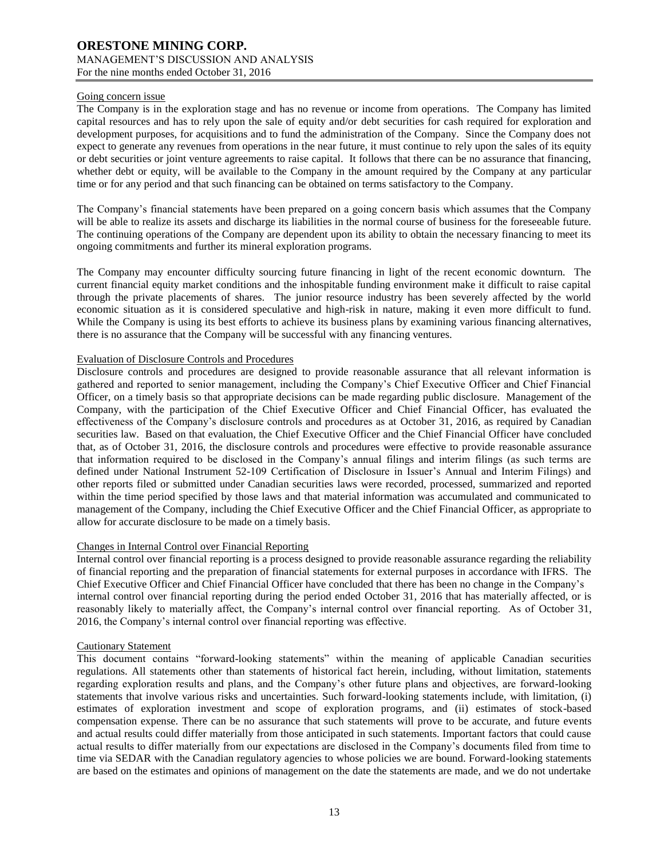#### Going concern issue

The Company is in the exploration stage and has no revenue or income from operations. The Company has limited capital resources and has to rely upon the sale of equity and/or debt securities for cash required for exploration and development purposes, for acquisitions and to fund the administration of the Company. Since the Company does not expect to generate any revenues from operations in the near future, it must continue to rely upon the sales of its equity or debt securities or joint venture agreements to raise capital. It follows that there can be no assurance that financing, whether debt or equity, will be available to the Company in the amount required by the Company at any particular time or for any period and that such financing can be obtained on terms satisfactory to the Company.

The Company's financial statements have been prepared on a going concern basis which assumes that the Company will be able to realize its assets and discharge its liabilities in the normal course of business for the foreseeable future. The continuing operations of the Company are dependent upon its ability to obtain the necessary financing to meet its ongoing commitments and further its mineral exploration programs.

The Company may encounter difficulty sourcing future financing in light of the recent economic downturn. The current financial equity market conditions and the inhospitable funding environment make it difficult to raise capital through the private placements of shares. The junior resource industry has been severely affected by the world economic situation as it is considered speculative and high-risk in nature, making it even more difficult to fund. While the Company is using its best efforts to achieve its business plans by examining various financing alternatives, there is no assurance that the Company will be successful with any financing ventures.

## Evaluation of Disclosure Controls and Procedures

Disclosure controls and procedures are designed to provide reasonable assurance that all relevant information is gathered and reported to senior management, including the Company's Chief Executive Officer and Chief Financial Officer, on a timely basis so that appropriate decisions can be made regarding public disclosure. Management of the Company, with the participation of the Chief Executive Officer and Chief Financial Officer, has evaluated the effectiveness of the Company's disclosure controls and procedures as at October 31, 2016, as required by Canadian securities law. Based on that evaluation, the Chief Executive Officer and the Chief Financial Officer have concluded that, as of October 31, 2016, the disclosure controls and procedures were effective to provide reasonable assurance that information required to be disclosed in the Company's annual filings and interim filings (as such terms are defined under National Instrument 52-109 Certification of Disclosure in Issuer's Annual and Interim Filings) and other reports filed or submitted under Canadian securities laws were recorded, processed, summarized and reported within the time period specified by those laws and that material information was accumulated and communicated to management of the Company, including the Chief Executive Officer and the Chief Financial Officer, as appropriate to allow for accurate disclosure to be made on a timely basis.

# Changes in Internal Control over Financial Reporting

Internal control over financial reporting is a process designed to provide reasonable assurance regarding the reliability of financial reporting and the preparation of financial statements for external purposes in accordance with IFRS. The Chief Executive Officer and Chief Financial Officer have concluded that there has been no change in the Company's internal control over financial reporting during the period ended October 31, 2016 that has materially affected, or is reasonably likely to materially affect, the Company's internal control over financial reporting. As of October 31, 2016, the Company's internal control over financial reporting was effective.

#### Cautionary Statement

This document contains "forward-looking statements" within the meaning of applicable Canadian securities regulations. All statements other than statements of historical fact herein, including, without limitation, statements regarding exploration results and plans, and the Company's other future plans and objectives, are forward-looking statements that involve various risks and uncertainties. Such forward-looking statements include, with limitation, (i) estimates of exploration investment and scope of exploration programs, and (ii) estimates of stock-based compensation expense. There can be no assurance that such statements will prove to be accurate, and future events and actual results could differ materially from those anticipated in such statements. Important factors that could cause actual results to differ materially from our expectations are disclosed in the Company's documents filed from time to time via SEDAR with the Canadian regulatory agencies to whose policies we are bound. Forward-looking statements are based on the estimates and opinions of management on the date the statements are made, and we do not undertake